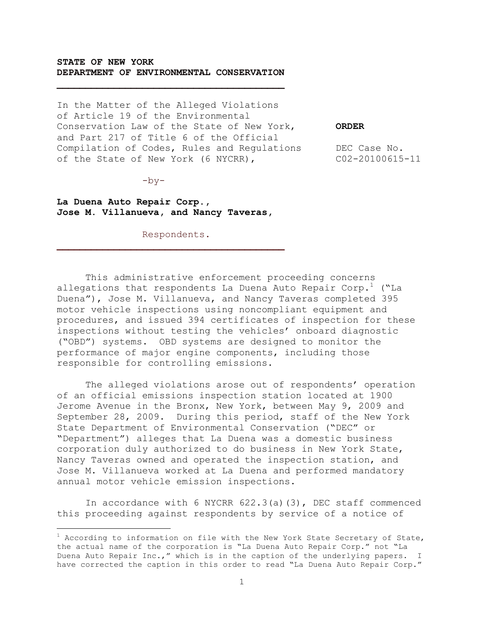## **STATE OF NEW YORK DEPARTMENT OF ENVIRONMENTAL CONSERVATION**

In the Matter of the Alleged Violations of Article 19 of the Environmental Conservation Law of the State of New York, **ORDER** and Part 217 of Title 6 of the Official Compilation of Codes, Rules and Regulations DEC Case No. of the State of New York (6 NYCRR), C02-20100615-11

 $-by-$ 

i<br>L

**La Duena Auto Repair Corp., Jose M. Villanueva, and Nancy Taveras,**

Respondents.

This administrative enforcement proceeding concerns allegations that respondents La Duena Auto Repair Corp.<sup>1</sup> ("La Duena"), Jose M. Villanueva, and Nancy Taveras completed 395 motor vehicle inspections using noncompliant equipment and procedures, and issued 394 certificates of inspection for these inspections without testing the vehicles' onboard diagnostic ("OBD") systems. OBD systems are designed to monitor the performance of major engine components, including those responsible for controlling emissions.

The alleged violations arose out of respondents' operation of an official emissions inspection station located at 1900 Jerome Avenue in the Bronx, New York, between May 9, 2009 and September 28, 2009. During this period, staff of the New York State Department of Environmental Conservation ("DEC" or "Department") alleges that La Duena was a domestic business corporation duly authorized to do business in New York State, Nancy Taveras owned and operated the inspection station, and Jose M. Villanueva worked at La Duena and performed mandatory annual motor vehicle emission inspections.

In accordance with 6 NYCRR 622.3(a)(3), DEC staff commenced this proceeding against respondents by service of a notice of

 $1$  According to information on file with the New York State Secretary of State, the actual name of the corporation is "La Duena Auto Repair Corp." not "La Duena Auto Repair Inc.," which is in the caption of the underlying papers. I have corrected the caption in this order to read "La Duena Auto Repair Corp."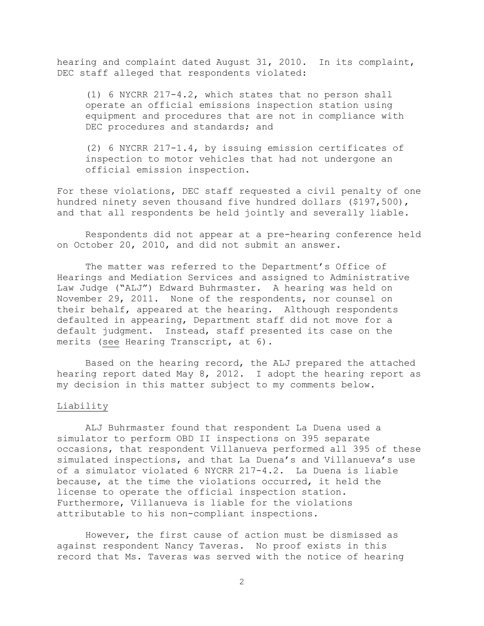hearing and complaint dated August 31, 2010. In its complaint, DEC staff alleged that respondents violated:

(1) 6 NYCRR 217-4.2, which states that no person shall operate an official emissions inspection station using equipment and procedures that are not in compliance with DEC procedures and standards; and

(2) 6 NYCRR 217-1.4, by issuing emission certificates of inspection to motor vehicles that had not undergone an official emission inspection.

For these violations, DEC staff requested a civil penalty of one hundred ninety seven thousand five hundred dollars (\$197,500), and that all respondents be held jointly and severally liable.

Respondents did not appear at a pre-hearing conference held on October 20, 2010, and did not submit an answer.

The matter was referred to the Department's Office of Hearings and Mediation Services and assigned to Administrative Law Judge ("ALJ") Edward Buhrmaster. A hearing was held on November 29, 2011. None of the respondents, nor counsel on their behalf, appeared at the hearing. Although respondents defaulted in appearing, Department staff did not move for a default judgment. Instead, staff presented its case on the merits (see Hearing Transcript, at 6).

Based on the hearing record, the ALJ prepared the attached hearing report dated May 8, 2012. I adopt the hearing report as my decision in this matter subject to my comments below.

#### Liability

ALJ Buhrmaster found that respondent La Duena used a simulator to perform OBD II inspections on 395 separate occasions, that respondent Villanueva performed all 395 of these simulated inspections, and that La Duena's and Villanueva's use of a simulator violated 6 NYCRR 217-4.2. La Duena is liable because, at the time the violations occurred, it held the license to operate the official inspection station. Furthermore, Villanueva is liable for the violations attributable to his non-compliant inspections.

However, the first cause of action must be dismissed as against respondent Nancy Taveras. No proof exists in this record that Ms. Taveras was served with the notice of hearing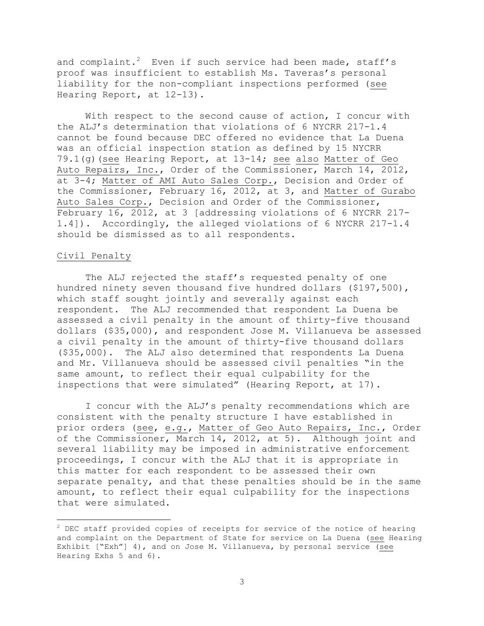and complaint.<sup>2</sup> Even if such service had been made, staff's proof was insufficient to establish Ms. Taveras's personal liability for the non-compliant inspections performed (see Hearing Report, at 12-13).

With respect to the second cause of action, I concur with the ALJ's determination that violations of 6 NYCRR 217-1.4 cannot be found because DEC offered no evidence that La Duena was an official inspection station as defined by 15 NYCRR 79.1(g)(see Hearing Report, at 13-14; see also Matter of Geo Auto Repairs, Inc., Order of the Commissioner, March 14, 2012, at 3-4; Matter of AMI Auto Sales Corp., Decision and Order of the Commissioner, February 16, 2012, at 3, and Matter of Gurabo Auto Sales Corp., Decision and Order of the Commissioner, February 16, 2012, at 3 [addressing violations of 6 NYCRR 217- 1.4]). Accordingly, the alleged violations of 6 NYCRR 217-1.4 should be dismissed as to all respondents.

## Civil Penalty

i<br>L

The ALJ rejected the staff's requested penalty of one hundred ninety seven thousand five hundred dollars (\$197,500), which staff sought jointly and severally against each respondent. The ALJ recommended that respondent La Duena be assessed a civil penalty in the amount of thirty-five thousand dollars (\$35,000), and respondent Jose M. Villanueva be assessed a civil penalty in the amount of thirty-five thousand dollars (\$35,000). The ALJ also determined that respondents La Duena and Mr. Villanueva should be assessed civil penalties "in the same amount, to reflect their equal culpability for the inspections that were simulated" (Hearing Report, at 17).

I concur with the ALJ's penalty recommendations which are consistent with the penalty structure I have established in prior orders (see, e.g., Matter of Geo Auto Repairs, Inc., Order of the Commissioner, March 14, 2012, at 5). Although joint and several liability may be imposed in administrative enforcement proceedings, I concur with the ALJ that it is appropriate in this matter for each respondent to be assessed their own separate penalty, and that these penalties should be in the same amount, to reflect their equal culpability for the inspections that were simulated.

 $2$  DEC staff provided copies of receipts for service of the notice of hearing and complaint on the Department of State for service on La Duena (see Hearing Exhibit ["Exh"] 4), and on Jose M. Villanueva, by personal service (see Hearing Exhs 5 and 6).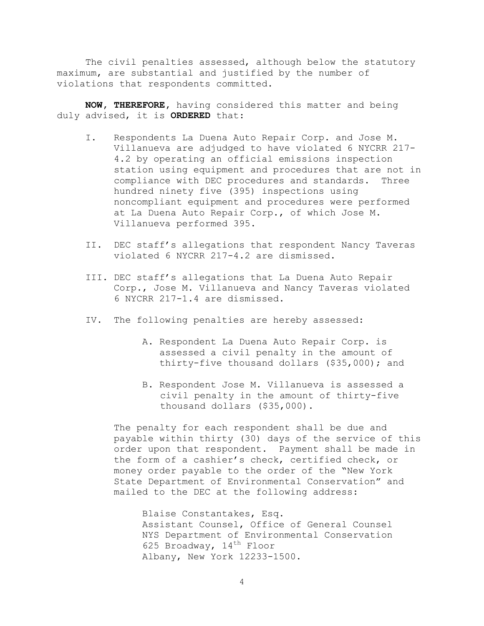The civil penalties assessed, although below the statutory maximum, are substantial and justified by the number of violations that respondents committed.

**NOW, THEREFORE,** having considered this matter and being duly advised, it is **ORDERED** that:

- I. Respondents La Duena Auto Repair Corp. and Jose M. Villanueva are adjudged to have violated 6 NYCRR 217- 4.2 by operating an official emissions inspection station using equipment and procedures that are not in compliance with DEC procedures and standards. Three hundred ninety five (395) inspections using noncompliant equipment and procedures were performed at La Duena Auto Repair Corp., of which Jose M. Villanueva performed 395.
- II. DEC staff's allegations that respondent Nancy Taveras violated 6 NYCRR 217-4.2 are dismissed.
- III. DEC staff's allegations that La Duena Auto Repair Corp., Jose M. Villanueva and Nancy Taveras violated 6 NYCRR 217-1.4 are dismissed.
- IV. The following penalties are hereby assessed:
	- A. Respondent La Duena Auto Repair Corp. is assessed a civil penalty in the amount of thirty-five thousand dollars (\$35,000); and
	- B. Respondent Jose M. Villanueva is assessed a civil penalty in the amount of thirty-five thousand dollars (\$35,000).

The penalty for each respondent shall be due and payable within thirty (30) days of the service of this order upon that respondent. Payment shall be made in the form of a cashier's check, certified check, or money order payable to the order of the "New York State Department of Environmental Conservation" and mailed to the DEC at the following address:

Blaise Constantakes, Esq. Assistant Counsel, Office of General Counsel NYS Department of Environmental Conservation 625 Broadway,  $14^{\text{th}}$  Floor Albany, New York 12233-1500.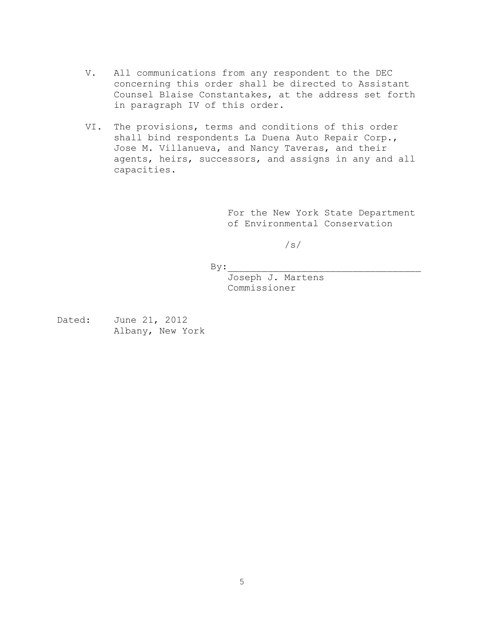- V. All communications from any respondent to the DEC concerning this order shall be directed to Assistant Counsel Blaise Constantakes, at the address set forth in paragraph IV of this order.
- VI. The provisions, terms and conditions of this order shall bind respondents La Duena Auto Repair Corp., Jose M. Villanueva, and Nancy Taveras, and their agents, heirs, successors, and assigns in any and all capacities.

For the New York State Department of Environmental Conservation

/s/

 $By:$ 

Joseph J. Martens Commissioner

Dated: June 21, 2012 Albany, New York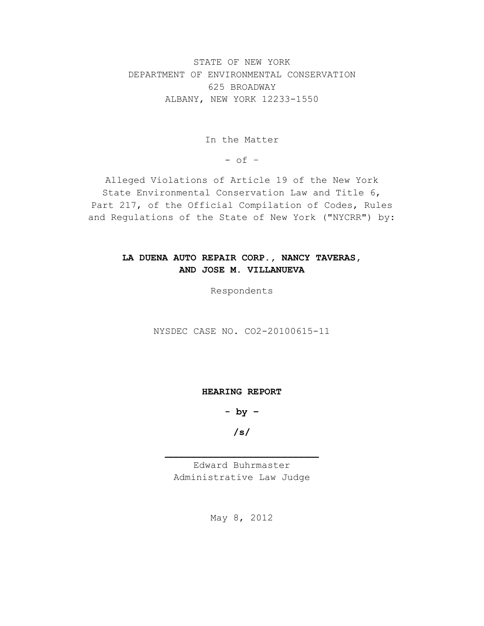STATE OF NEW YORK DEPARTMENT OF ENVIRONMENTAL CONSERVATION 625 BROADWAY ALBANY, NEW YORK 12233-1550

In the Matter

 $-$  of  $-$ 

Alleged Violations of Article 19 of the New York State Environmental Conservation Law and Title 6, Part 217, of the Official Compilation of Codes, Rules and Regulations of the State of New York ("NYCRR") by:

# **LA DUENA AUTO REPAIR CORP., NANCY TAVERAS, AND JOSE M. VILLANUEVA**

Respondents

NYSDEC CASE NO. CO2-20100615-11

**HEARING REPORT**

**- by –**

**/s/**

Edward Buhrmaster Administrative Law Judge

May 8, 2012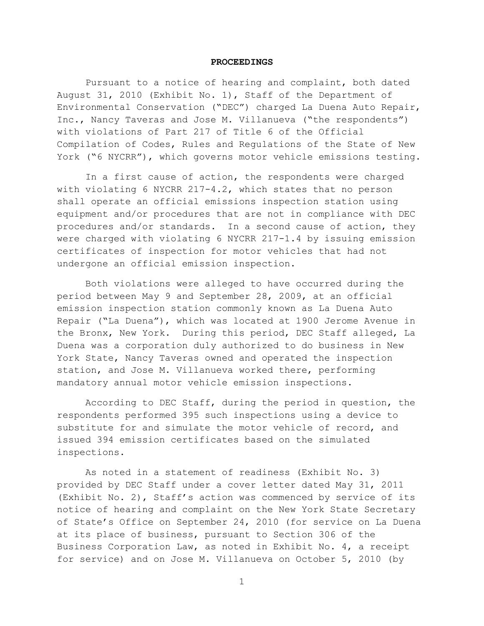#### **PROCEEDINGS**

Pursuant to a notice of hearing and complaint, both dated August 31, 2010 (Exhibit No. 1), Staff of the Department of Environmental Conservation ("DEC") charged La Duena Auto Repair, Inc., Nancy Taveras and Jose M. Villanueva ("the respondents") with violations of Part 217 of Title 6 of the Official Compilation of Codes, Rules and Regulations of the State of New York ("6 NYCRR"), which governs motor vehicle emissions testing.

In a first cause of action, the respondents were charged with violating 6 NYCRR 217-4.2, which states that no person shall operate an official emissions inspection station using equipment and/or procedures that are not in compliance with DEC procedures and/or standards. In a second cause of action, they were charged with violating 6 NYCRR 217-1.4 by issuing emission certificates of inspection for motor vehicles that had not undergone an official emission inspection.

Both violations were alleged to have occurred during the period between May 9 and September 28, 2009, at an official emission inspection station commonly known as La Duena Auto Repair ("La Duena"), which was located at 1900 Jerome Avenue in the Bronx, New York. During this period, DEC Staff alleged, La Duena was a corporation duly authorized to do business in New York State, Nancy Taveras owned and operated the inspection station, and Jose M. Villanueva worked there, performing mandatory annual motor vehicle emission inspections.

According to DEC Staff, during the period in question, the respondents performed 395 such inspections using a device to substitute for and simulate the motor vehicle of record, and issued 394 emission certificates based on the simulated inspections.

As noted in a statement of readiness (Exhibit No. 3) provided by DEC Staff under a cover letter dated May 31, 2011 (Exhibit No. 2), Staff's action was commenced by service of its notice of hearing and complaint on the New York State Secretary of State's Office on September 24, 2010 (for service on La Duena at its place of business, pursuant to Section 306 of the Business Corporation Law, as noted in Exhibit No. 4, a receipt for service) and on Jose M. Villanueva on October 5, 2010 (by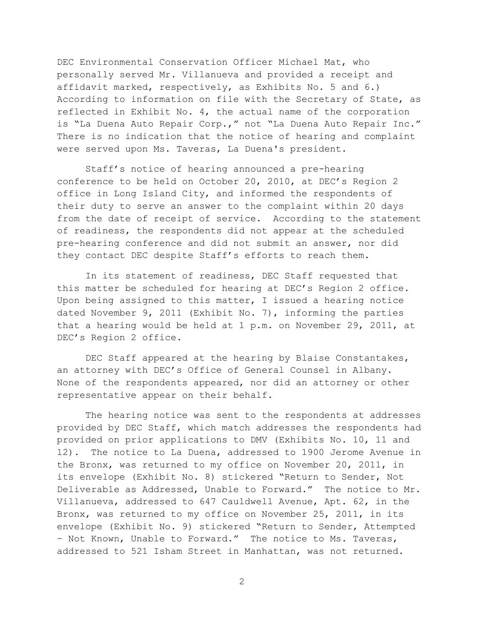DEC Environmental Conservation Officer Michael Mat, who personally served Mr. Villanueva and provided a receipt and affidavit marked, respectively, as Exhibits No. 5 and 6.) According to information on file with the Secretary of State, as reflected in Exhibit No. 4, the actual name of the corporation is "La Duena Auto Repair Corp.," not "La Duena Auto Repair Inc." There is no indication that the notice of hearing and complaint were served upon Ms. Taveras, La Duena's president.

Staff's notice of hearing announced a pre-hearing conference to be held on October 20, 2010, at DEC's Region 2 office in Long Island City, and informed the respondents of their duty to serve an answer to the complaint within 20 days from the date of receipt of service. According to the statement of readiness, the respondents did not appear at the scheduled pre-hearing conference and did not submit an answer, nor did they contact DEC despite Staff's efforts to reach them.

In its statement of readiness, DEC Staff requested that this matter be scheduled for hearing at DEC's Region 2 office. Upon being assigned to this matter, I issued a hearing notice dated November 9, 2011 (Exhibit No. 7), informing the parties that a hearing would be held at 1 p.m. on November 29, 2011, at DEC's Region 2 office.

DEC Staff appeared at the hearing by Blaise Constantakes, an attorney with DEC's Office of General Counsel in Albany. None of the respondents appeared, nor did an attorney or other representative appear on their behalf.

The hearing notice was sent to the respondents at addresses provided by DEC Staff, which match addresses the respondents had provided on prior applications to DMV (Exhibits No. 10, 11 and 12). The notice to La Duena, addressed to 1900 Jerome Avenue in the Bronx, was returned to my office on November 20, 2011, in its envelope (Exhibit No. 8) stickered "Return to Sender, Not Deliverable as Addressed, Unable to Forward." The notice to Mr. Villanueva, addressed to 647 Cauldwell Avenue, Apt. 62, in the Bronx, was returned to my office on November 25, 2011, in its envelope (Exhibit No. 9) stickered "Return to Sender, Attempted – Not Known, Unable to Forward." The notice to Ms. Taveras, addressed to 521 Isham Street in Manhattan, was not returned.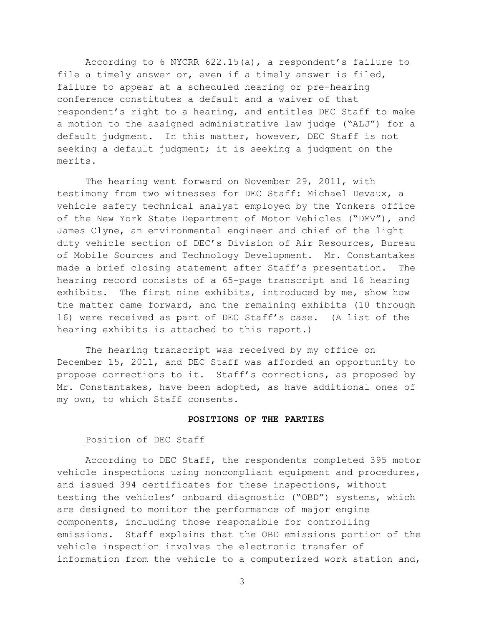According to 6 NYCRR 622.15(a), a respondent's failure to file a timely answer or, even if a timely answer is filed, failure to appear at a scheduled hearing or pre-hearing conference constitutes a default and a waiver of that respondent's right to a hearing, and entitles DEC Staff to make a motion to the assigned administrative law judge ("ALJ") for a default judgment. In this matter, however, DEC Staff is not seeking a default judgment; it is seeking a judgment on the merits.

The hearing went forward on November 29, 2011, with testimony from two witnesses for DEC Staff: Michael Devaux, a vehicle safety technical analyst employed by the Yonkers office of the New York State Department of Motor Vehicles ("DMV"), and James Clyne, an environmental engineer and chief of the light duty vehicle section of DEC's Division of Air Resources, Bureau of Mobile Sources and Technology Development. Mr. Constantakes made a brief closing statement after Staff's presentation. The hearing record consists of a 65-page transcript and 16 hearing exhibits. The first nine exhibits, introduced by me, show how the matter came forward, and the remaining exhibits (10 through 16) were received as part of DEC Staff's case. (A list of the hearing exhibits is attached to this report.)

The hearing transcript was received by my office on December 15, 2011, and DEC Staff was afforded an opportunity to propose corrections to it. Staff's corrections, as proposed by Mr. Constantakes, have been adopted, as have additional ones of my own, to which Staff consents.

#### **POSITIONS OF THE PARTIES**

#### Position of DEC Staff

According to DEC Staff, the respondents completed 395 motor vehicle inspections using noncompliant equipment and procedures, and issued 394 certificates for these inspections, without testing the vehicles' onboard diagnostic ("OBD") systems, which are designed to monitor the performance of major engine components, including those responsible for controlling emissions. Staff explains that the OBD emissions portion of the vehicle inspection involves the electronic transfer of information from the vehicle to a computerized work station and,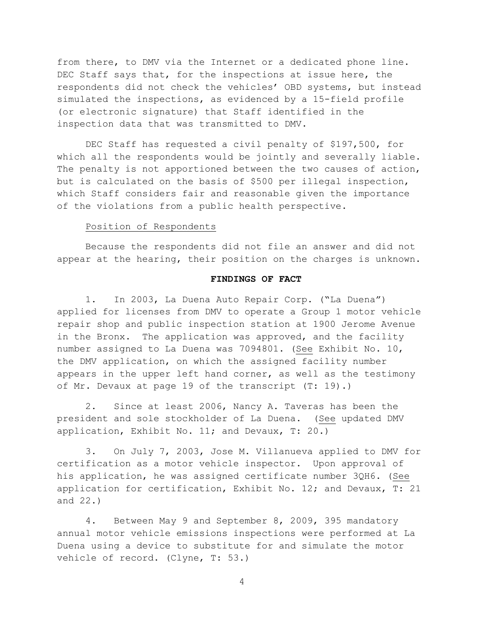from there, to DMV via the Internet or a dedicated phone line. DEC Staff says that, for the inspections at issue here, the respondents did not check the vehicles' OBD systems, but instead simulated the inspections, as evidenced by a 15-field profile (or electronic signature) that Staff identified in the inspection data that was transmitted to DMV.

DEC Staff has requested a civil penalty of \$197,500, for which all the respondents would be jointly and severally liable. The penalty is not apportioned between the two causes of action, but is calculated on the basis of \$500 per illegal inspection, which Staff considers fair and reasonable given the importance of the violations from a public health perspective.

## Position of Respondents

Because the respondents did not file an answer and did not appear at the hearing, their position on the charges is unknown.

## **FINDINGS OF FACT**

1. In 2003, La Duena Auto Repair Corp. ("La Duena") applied for licenses from DMV to operate a Group 1 motor vehicle repair shop and public inspection station at 1900 Jerome Avenue in the Bronx. The application was approved, and the facility number assigned to La Duena was 7094801. (See Exhibit No. 10, the DMV application, on which the assigned facility number appears in the upper left hand corner, as well as the testimony of Mr. Devaux at page 19 of the transcript (T: 19).)

2. Since at least 2006, Nancy A. Taveras has been the president and sole stockholder of La Duena. (See updated DMV application, Exhibit No. 11; and Devaux, T: 20.)

3. On July 7, 2003, Jose M. Villanueva applied to DMV for certification as a motor vehicle inspector. Upon approval of his application, he was assigned certificate number 3QH6. (See application for certification, Exhibit No. 12; and Devaux, T: 21 and 22.)

4. Between May 9 and September 8, 2009, 395 mandatory annual motor vehicle emissions inspections were performed at La Duena using a device to substitute for and simulate the motor vehicle of record. (Clyne, T: 53.)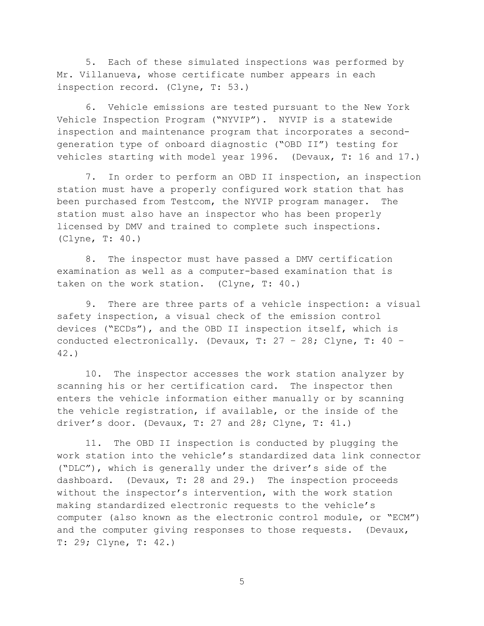5. Each of these simulated inspections was performed by Mr. Villanueva, whose certificate number appears in each inspection record. (Clyne, T: 53.)

6. Vehicle emissions are tested pursuant to the New York Vehicle Inspection Program ("NYVIP"). NYVIP is a statewide inspection and maintenance program that incorporates a secondgeneration type of onboard diagnostic ("OBD II") testing for vehicles starting with model year 1996. (Devaux, T: 16 and 17.)

7. In order to perform an OBD II inspection, an inspection station must have a properly configured work station that has been purchased from Testcom, the NYVIP program manager. The station must also have an inspector who has been properly licensed by DMV and trained to complete such inspections. (Clyne, T: 40.)

8. The inspector must have passed a DMV certification examination as well as a computer-based examination that is taken on the work station. (Clyne, T: 40.)

9. There are three parts of a vehicle inspection: a visual safety inspection, a visual check of the emission control devices ("ECDs"), and the OBD II inspection itself, which is conducted electronically. (Devaux, T: 27 – 28; Clyne, T: 40 – 42.)

10. The inspector accesses the work station analyzer by scanning his or her certification card. The inspector then enters the vehicle information either manually or by scanning the vehicle registration, if available, or the inside of the driver's door. (Devaux, T: 27 and 28; Clyne, T: 41.)

11. The OBD II inspection is conducted by plugging the work station into the vehicle's standardized data link connector ("DLC"), which is generally under the driver's side of the dashboard. (Devaux, T: 28 and 29.) The inspection proceeds without the inspector's intervention, with the work station making standardized electronic requests to the vehicle's computer (also known as the electronic control module, or "ECM") and the computer giving responses to those requests. (Devaux, T: 29; Clyne, T: 42.)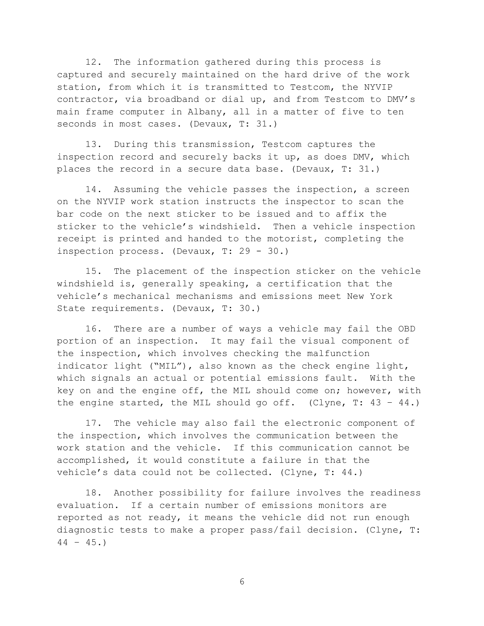12. The information gathered during this process is captured and securely maintained on the hard drive of the work station, from which it is transmitted to Testcom, the NYVIP contractor, via broadband or dial up, and from Testcom to DMV's main frame computer in Albany, all in a matter of five to ten seconds in most cases. (Devaux, T: 31.)

13. During this transmission, Testcom captures the inspection record and securely backs it up, as does DMV, which places the record in a secure data base. (Devaux, T: 31.)

14. Assuming the vehicle passes the inspection, a screen on the NYVIP work station instructs the inspector to scan the bar code on the next sticker to be issued and to affix the sticker to the vehicle's windshield. Then a vehicle inspection receipt is printed and handed to the motorist, completing the inspection process. (Devaux, T: 29 - 30.)

15. The placement of the inspection sticker on the vehicle windshield is, generally speaking, a certification that the vehicle's mechanical mechanisms and emissions meet New York State requirements. (Devaux, T: 30.)

16. There are a number of ways a vehicle may fail the OBD portion of an inspection. It may fail the visual component of the inspection, which involves checking the malfunction indicator light ("MIL"), also known as the check engine light, which signals an actual or potential emissions fault. With the key on and the engine off, the MIL should come on; however, with the engine started, the MIL should go off. (Clyne, T:  $43 - 44$ .)

17. The vehicle may also fail the electronic component of the inspection, which involves the communication between the work station and the vehicle. If this communication cannot be accomplished, it would constitute a failure in that the vehicle's data could not be collected. (Clyne, T: 44.)

18. Another possibility for failure involves the readiness evaluation. If a certain number of emissions monitors are reported as not ready, it means the vehicle did not run enough diagnostic tests to make a proper pass/fail decision. (Clyne, T:  $44 - 45.$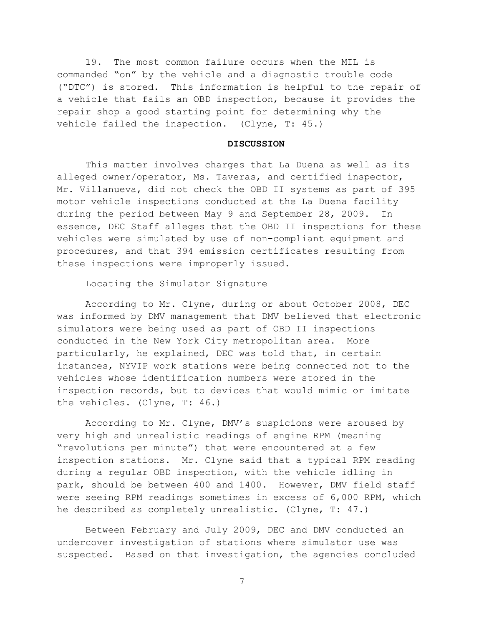19. The most common failure occurs when the MIL is commanded "on" by the vehicle and a diagnostic trouble code ("DTC") is stored. This information is helpful to the repair of a vehicle that fails an OBD inspection, because it provides the repair shop a good starting point for determining why the vehicle failed the inspection. (Clyne, T: 45.)

#### **DISCUSSION**

This matter involves charges that La Duena as well as its alleged owner/operator, Ms. Taveras, and certified inspector, Mr. Villanueva, did not check the OBD II systems as part of 395 motor vehicle inspections conducted at the La Duena facility during the period between May 9 and September 28, 2009. In essence, DEC Staff alleges that the OBD II inspections for these vehicles were simulated by use of non-compliant equipment and procedures, and that 394 emission certificates resulting from these inspections were improperly issued.

## Locating the Simulator Signature

According to Mr. Clyne, during or about October 2008, DEC was informed by DMV management that DMV believed that electronic simulators were being used as part of OBD II inspections conducted in the New York City metropolitan area. More particularly, he explained, DEC was told that, in certain instances, NYVIP work stations were being connected not to the vehicles whose identification numbers were stored in the inspection records, but to devices that would mimic or imitate the vehicles. (Clyne, T: 46.)

According to Mr. Clyne, DMV's suspicions were aroused by very high and unrealistic readings of engine RPM (meaning "revolutions per minute") that were encountered at a few inspection stations. Mr. Clyne said that a typical RPM reading during a regular OBD inspection, with the vehicle idling in park, should be between 400 and 1400. However, DMV field staff were seeing RPM readings sometimes in excess of 6,000 RPM, which he described as completely unrealistic. (Clyne, T: 47.)

Between February and July 2009, DEC and DMV conducted an undercover investigation of stations where simulator use was suspected. Based on that investigation, the agencies concluded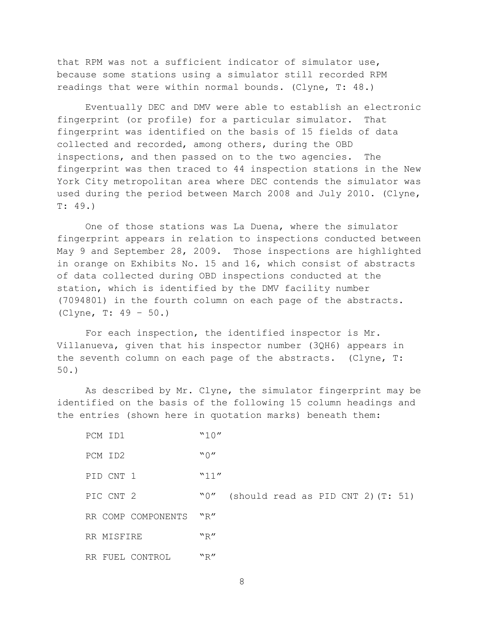that RPM was not a sufficient indicator of simulator use, because some stations using a simulator still recorded RPM readings that were within normal bounds. (Clyne, T: 48.)

Eventually DEC and DMV were able to establish an electronic fingerprint (or profile) for a particular simulator. That fingerprint was identified on the basis of 15 fields of data collected and recorded, among others, during the OBD inspections, and then passed on to the two agencies. The fingerprint was then traced to 44 inspection stations in the New York City metropolitan area where DEC contends the simulator was used during the period between March 2008 and July 2010. (Clyne, T: 49.)

One of those stations was La Duena, where the simulator fingerprint appears in relation to inspections conducted between May 9 and September 28, 2009. Those inspections are highlighted in orange on Exhibits No. 15 and 16, which consist of abstracts of data collected during OBD inspections conducted at the station, which is identified by the DMV facility number (7094801) in the fourth column on each page of the abstracts. (Clyne, T: 49 – 50.)

For each inspection, the identified inspector is Mr. Villanueva, given that his inspector number (3QH6) appears in the seventh column on each page of the abstracts. (Clyne, T: 50.)

As described by Mr. Clyne, the simulator fingerprint may be identified on the basis of the following 15 column headings and the entries (shown here in quotation marks) beneath them:

| PCM ID1            | "10" |                                      |  |
|--------------------|------|--------------------------------------|--|
| PCM ID2            | "0"  |                                      |  |
| PID CNT 1          | "11" |                                      |  |
| PIC CNT 2          | "0"  | (should read as PID CNT 2) $(T: 51)$ |  |
| RR COMP COMPONENTS | "R"  |                                      |  |
| RR MISFIRE         | "R"  |                                      |  |
| RR FUEL CONTROL    | "R"  |                                      |  |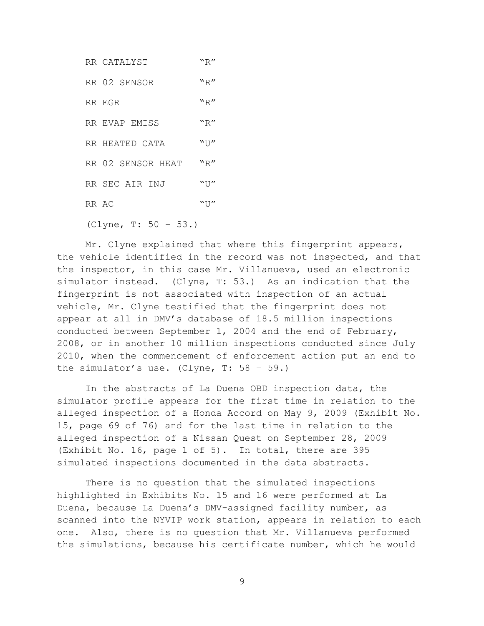|       | RR CATALYST             | "R"   |
|-------|-------------------------|-------|
|       | RR 02 SENSOR            | "R"   |
|       | RR EGR                  | "R"   |
|       | RR EVAP EMISS           | "R"   |
|       | RR HEATED CATA          | $"$ U |
|       | RR 02 SENSOR HEAT       | "R"   |
|       | RR SEC AIR INJ          | $"$ U |
| RR AC |                         | "U"   |
|       | (Clyne, T: $50 - 53.$ ) |       |

Mr. Clyne explained that where this fingerprint appears, the vehicle identified in the record was not inspected, and that the inspector, in this case Mr. Villanueva, used an electronic simulator instead. (Clyne, T: 53.) As an indication that the fingerprint is not associated with inspection of an actual vehicle, Mr. Clyne testified that the fingerprint does not appear at all in DMV's database of 18.5 million inspections conducted between September 1, 2004 and the end of February, 2008, or in another 10 million inspections conducted since July 2010, when the commencement of enforcement action put an end to the simulator's use. (Clyne,  $T: 58 - 59$ .)

In the abstracts of La Duena OBD inspection data, the simulator profile appears for the first time in relation to the alleged inspection of a Honda Accord on May 9, 2009 (Exhibit No. 15, page 69 of 76) and for the last time in relation to the alleged inspection of a Nissan Quest on September 28, 2009 (Exhibit No. 16, page 1 of 5). In total, there are 395 simulated inspections documented in the data abstracts.

There is no question that the simulated inspections highlighted in Exhibits No. 15 and 16 were performed at La Duena, because La Duena's DMV-assigned facility number, as scanned into the NYVIP work station, appears in relation to each one. Also, there is no question that Mr. Villanueva performed the simulations, because his certificate number, which he would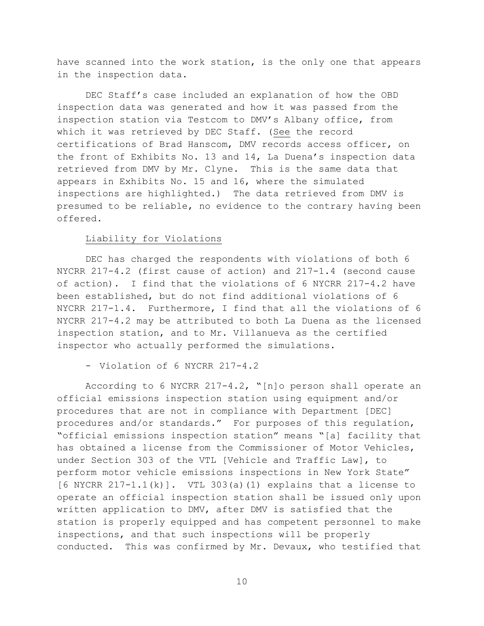have scanned into the work station, is the only one that appears in the inspection data.

DEC Staff's case included an explanation of how the OBD inspection data was generated and how it was passed from the inspection station via Testcom to DMV's Albany office, from which it was retrieved by DEC Staff. (See the record certifications of Brad Hanscom, DMV records access officer, on the front of Exhibits No. 13 and 14, La Duena's inspection data retrieved from DMV by Mr. Clyne. This is the same data that appears in Exhibits No. 15 and 16, where the simulated inspections are highlighted.) The data retrieved from DMV is presumed to be reliable, no evidence to the contrary having been offered.

## Liability for Violations

DEC has charged the respondents with violations of both 6 NYCRR 217-4.2 (first cause of action) and 217-1.4 (second cause of action). I find that the violations of 6 NYCRR 217-4.2 have been established, but do not find additional violations of 6 NYCRR 217-1.4. Furthermore, I find that all the violations of 6 NYCRR 217-4.2 may be attributed to both La Duena as the licensed inspection station, and to Mr. Villanueva as the certified inspector who actually performed the simulations.

- Violation of 6 NYCRR 217-4.2

According to 6 NYCRR 217-4.2, "[n]o person shall operate an official emissions inspection station using equipment and/or procedures that are not in compliance with Department [DEC] procedures and/or standards." For purposes of this regulation, "official emissions inspection station" means "[a] facility that has obtained a license from the Commissioner of Motor Vehicles, under Section 303 of the VTL [Vehicle and Traffic Law], to perform motor vehicle emissions inspections in New York State"  $[6$  NYCRR  $217-1.1(k)$ . VTL 303(a)(1) explains that a license to operate an official inspection station shall be issued only upon written application to DMV, after DMV is satisfied that the station is properly equipped and has competent personnel to make inspections, and that such inspections will be properly conducted. This was confirmed by Mr. Devaux, who testified that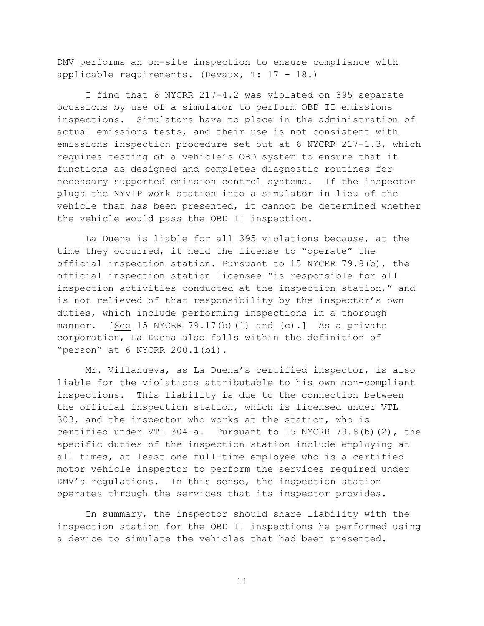DMV performs an on-site inspection to ensure compliance with applicable requirements. (Devaux, T: 17 – 18.)

I find that 6 NYCRR 217-4.2 was violated on 395 separate occasions by use of a simulator to perform OBD II emissions inspections. Simulators have no place in the administration of actual emissions tests, and their use is not consistent with emissions inspection procedure set out at 6 NYCRR 217-1.3, which requires testing of a vehicle's OBD system to ensure that it functions as designed and completes diagnostic routines for necessary supported emission control systems. If the inspector plugs the NYVIP work station into a simulator in lieu of the vehicle that has been presented, it cannot be determined whether the vehicle would pass the OBD II inspection.

La Duena is liable for all 395 violations because, at the time they occurred, it held the license to "operate" the official inspection station. Pursuant to 15 NYCRR 79.8(b), the official inspection station licensee "is responsible for all inspection activities conducted at the inspection station," and is not relieved of that responsibility by the inspector's own duties, which include performing inspections in a thorough manner. [See 15 NYCRR 79.17(b)(1) and (c).] As a private corporation, La Duena also falls within the definition of "person" at 6 NYCRR 200.1(bi).

Mr. Villanueva, as La Duena's certified inspector, is also liable for the violations attributable to his own non-compliant inspections. This liability is due to the connection between the official inspection station, which is licensed under VTL 303, and the inspector who works at the station, who is certified under VTL 304-a. Pursuant to 15 NYCRR 79.8(b)(2), the specific duties of the inspection station include employing at all times, at least one full-time employee who is a certified motor vehicle inspector to perform the services required under DMV's regulations. In this sense, the inspection station operates through the services that its inspector provides.

In summary, the inspector should share liability with the inspection station for the OBD II inspections he performed using a device to simulate the vehicles that had been presented.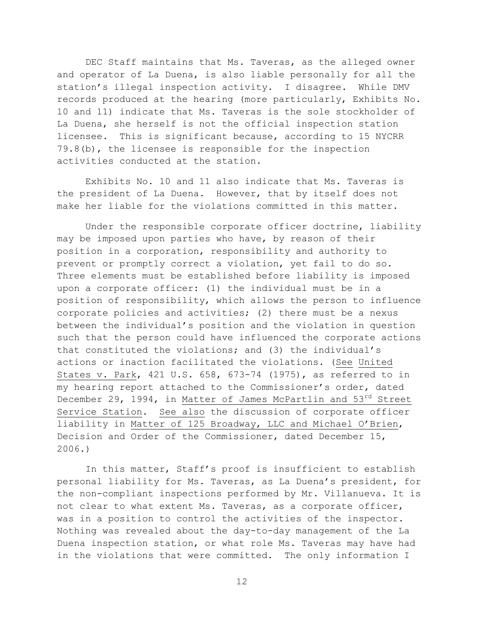DEC Staff maintains that Ms. Taveras, as the alleged owner and operator of La Duena, is also liable personally for all the station's illegal inspection activity. I disagree. While DMV records produced at the hearing (more particularly, Exhibits No. 10 and 11) indicate that Ms. Taveras is the sole stockholder of La Duena, she herself is not the official inspection station licensee. This is significant because, according to 15 NYCRR 79.8(b), the licensee is responsible for the inspection activities conducted at the station.

Exhibits No. 10 and 11 also indicate that Ms. Taveras is the president of La Duena. However, that by itself does not make her liable for the violations committed in this matter.

Under the responsible corporate officer doctrine, liability may be imposed upon parties who have, by reason of their position in a corporation, responsibility and authority to prevent or promptly correct a violation, yet fail to do so. Three elements must be established before liability is imposed upon a corporate officer: (1) the individual must be in a position of responsibility, which allows the person to influence corporate policies and activities; (2) there must be a nexus between the individual's position and the violation in question such that the person could have influenced the corporate actions that constituted the violations; and (3) the individual's actions or inaction facilitated the violations. (See United States v. Park, 421 U.S. 658, 673-74 (1975), as referred to in my hearing report attached to the Commissioner's order, dated December 29, 1994, in Matter of James McPartlin and 53rd Street Service Station. See also the discussion of corporate officer liability in Matter of 125 Broadway, LLC and Michael O'Brien, Decision and Order of the Commissioner, dated December 15, 2006.)

In this matter, Staff's proof is insufficient to establish personal liability for Ms. Taveras, as La Duena's president, for the non-compliant inspections performed by Mr. Villanueva. It is not clear to what extent Ms. Taveras, as a corporate officer, was in a position to control the activities of the inspector. Nothing was revealed about the day-to-day management of the La Duena inspection station, or what role Ms. Taveras may have had in the violations that were committed. The only information I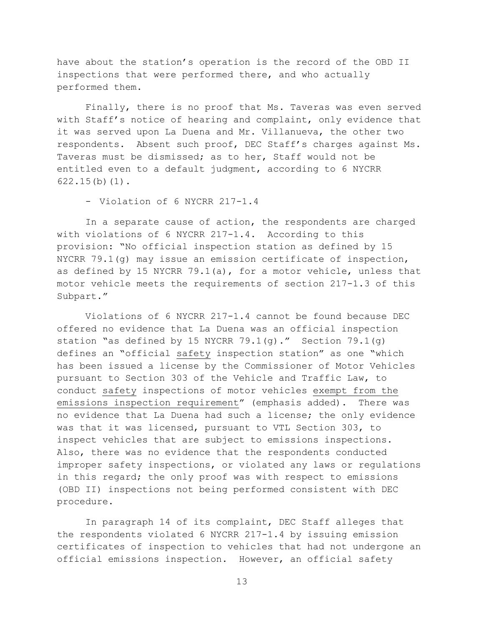have about the station's operation is the record of the OBD II inspections that were performed there, and who actually performed them.

Finally, there is no proof that Ms. Taveras was even served with Staff's notice of hearing and complaint, only evidence that it was served upon La Duena and Mr. Villanueva, the other two respondents. Absent such proof, DEC Staff's charges against Ms. Taveras must be dismissed; as to her, Staff would not be entitled even to a default judgment, according to 6 NYCRR  $622.15(b)(1)$ .

- Violation of 6 NYCRR 217-1.4

In a separate cause of action, the respondents are charged with violations of 6 NYCRR 217-1.4. According to this provision: "No official inspection station as defined by 15 NYCRR 79.1(g) may issue an emission certificate of inspection, as defined by 15 NYCRR 79.1(a), for a motor vehicle, unless that motor vehicle meets the requirements of section 217-1.3 of this Subpart."

Violations of 6 NYCRR 217-1.4 cannot be found because DEC offered no evidence that La Duena was an official inspection station "as defined by 15 NYCRR 79.1(g)." Section 79.1(g) defines an "official safety inspection station" as one "which has been issued a license by the Commissioner of Motor Vehicles pursuant to Section 303 of the Vehicle and Traffic Law, to conduct safety inspections of motor vehicles exempt from the emissions inspection requirement" (emphasis added). There was no evidence that La Duena had such a license; the only evidence was that it was licensed, pursuant to VTL Section 303, to inspect vehicles that are subject to emissions inspections. Also, there was no evidence that the respondents conducted improper safety inspections, or violated any laws or regulations in this regard; the only proof was with respect to emissions (OBD II) inspections not being performed consistent with DEC procedure.

In paragraph 14 of its complaint, DEC Staff alleges that the respondents violated 6 NYCRR 217-1.4 by issuing emission certificates of inspection to vehicles that had not undergone an official emissions inspection. However, an official safety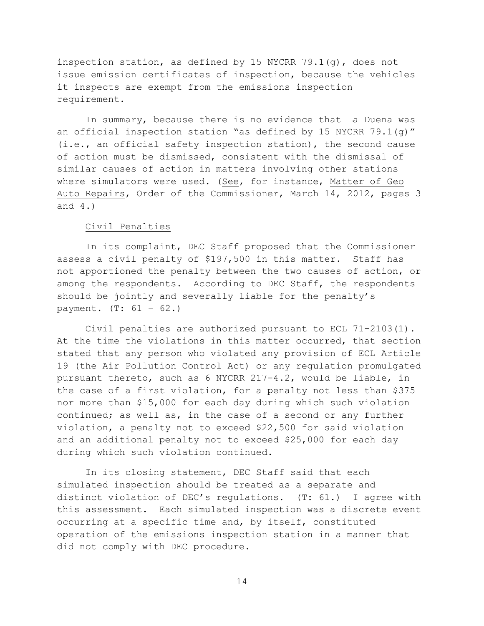inspection station, as defined by 15 NYCRR 79.1(g), does not issue emission certificates of inspection, because the vehicles it inspects are exempt from the emissions inspection requirement.

In summary, because there is no evidence that La Duena was an official inspection station "as defined by 15 NYCRR 79.1(g)" (i.e., an official safety inspection station), the second cause of action must be dismissed, consistent with the dismissal of similar causes of action in matters involving other stations where simulators were used. (See, for instance, Matter of Geo Auto Repairs, Order of the Commissioner, March 14, 2012, pages 3 and 4.)

#### Civil Penalties

In its complaint, DEC Staff proposed that the Commissioner assess a civil penalty of \$197,500 in this matter. Staff has not apportioned the penalty between the two causes of action, or among the respondents. According to DEC Staff, the respondents should be jointly and severally liable for the penalty's payment.  $(T: 61 - 62.)$ 

Civil penalties are authorized pursuant to ECL 71-2103(1). At the time the violations in this matter occurred, that section stated that any person who violated any provision of ECL Article 19 (the Air Pollution Control Act) or any regulation promulgated pursuant thereto, such as 6 NYCRR 217-4.2, would be liable, in the case of a first violation, for a penalty not less than \$375 nor more than \$15,000 for each day during which such violation continued; as well as, in the case of a second or any further violation, a penalty not to exceed \$22,500 for said violation and an additional penalty not to exceed \$25,000 for each day during which such violation continued.

In its closing statement, DEC Staff said that each simulated inspection should be treated as a separate and distinct violation of DEC's regulations. (T: 61.) I agree with this assessment. Each simulated inspection was a discrete event occurring at a specific time and, by itself, constituted operation of the emissions inspection station in a manner that did not comply with DEC procedure.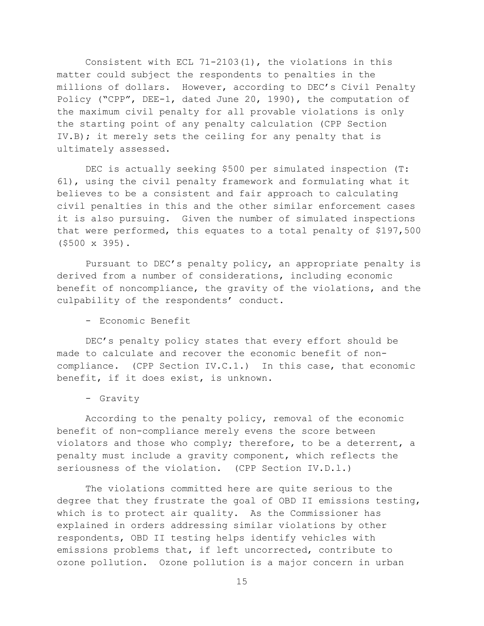Consistent with ECL 71-2103(1), the violations in this matter could subject the respondents to penalties in the millions of dollars. However, according to DEC's Civil Penalty Policy ("CPP", DEE-1, dated June 20, 1990), the computation of the maximum civil penalty for all provable violations is only the starting point of any penalty calculation (CPP Section IV.B); it merely sets the ceiling for any penalty that is ultimately assessed.

DEC is actually seeking \$500 per simulated inspection (T: 61), using the civil penalty framework and formulating what it believes to be a consistent and fair approach to calculating civil penalties in this and the other similar enforcement cases it is also pursuing. Given the number of simulated inspections that were performed, this equates to a total penalty of \$197,500 (\$500 x 395).

Pursuant to DEC's penalty policy, an appropriate penalty is derived from a number of considerations, including economic benefit of noncompliance, the gravity of the violations, and the culpability of the respondents' conduct.

- Economic Benefit

DEC's penalty policy states that every effort should be made to calculate and recover the economic benefit of noncompliance. (CPP Section IV.C.1.) In this case, that economic benefit, if it does exist, is unknown.

## - Gravity

According to the penalty policy, removal of the economic benefit of non-compliance merely evens the score between violators and those who comply; therefore, to be a deterrent, a penalty must include a gravity component, which reflects the seriousness of the violation. (CPP Section IV.D.1.)

The violations committed here are quite serious to the degree that they frustrate the goal of OBD II emissions testing, which is to protect air quality. As the Commissioner has explained in orders addressing similar violations by other respondents, OBD II testing helps identify vehicles with emissions problems that, if left uncorrected, contribute to ozone pollution. Ozone pollution is a major concern in urban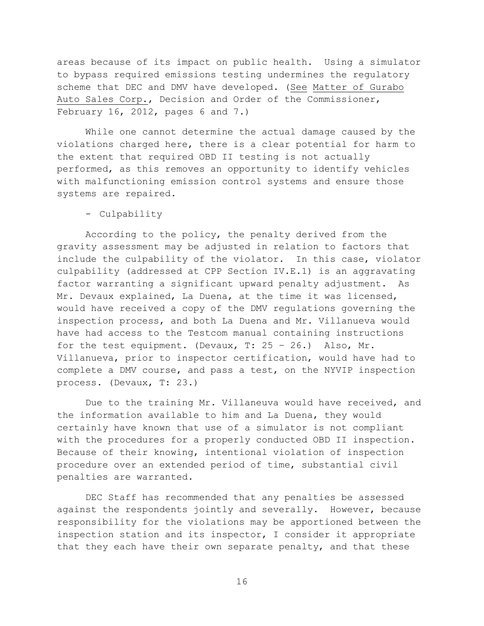areas because of its impact on public health. Using a simulator to bypass required emissions testing undermines the regulatory scheme that DEC and DMV have developed. (See Matter of Gurabo Auto Sales Corp., Decision and Order of the Commissioner, February 16, 2012, pages 6 and  $7.$ )

While one cannot determine the actual damage caused by the violations charged here, there is a clear potential for harm to the extent that required OBD II testing is not actually performed, as this removes an opportunity to identify vehicles with malfunctioning emission control systems and ensure those systems are repaired.

- Culpability

According to the policy, the penalty derived from the gravity assessment may be adjusted in relation to factors that include the culpability of the violator. In this case, violator culpability (addressed at CPP Section IV.E.1) is an aggravating factor warranting a significant upward penalty adjustment. As Mr. Devaux explained, La Duena, at the time it was licensed, would have received a copy of the DMV regulations governing the inspection process, and both La Duena and Mr. Villanueva would have had access to the Testcom manual containing instructions for the test equipment. (Devaux, T:  $25 - 26$ .) Also, Mr. Villanueva, prior to inspector certification, would have had to complete a DMV course, and pass a test, on the NYVIP inspection process. (Devaux, T: 23.)

Due to the training Mr. Villaneuva would have received, and the information available to him and La Duena, they would certainly have known that use of a simulator is not compliant with the procedures for a properly conducted OBD II inspection. Because of their knowing, intentional violation of inspection procedure over an extended period of time, substantial civil penalties are warranted.

DEC Staff has recommended that any penalties be assessed against the respondents jointly and severally. However, because responsibility for the violations may be apportioned between the inspection station and its inspector, I consider it appropriate that they each have their own separate penalty, and that these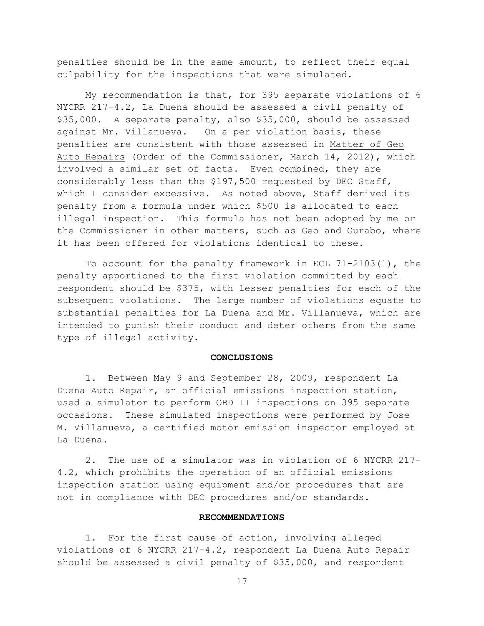penalties should be in the same amount, to reflect their equal culpability for the inspections that were simulated.

My recommendation is that, for 395 separate violations of 6 NYCRR 217-4.2, La Duena should be assessed a civil penalty of \$35,000. A separate penalty, also \$35,000, should be assessed against Mr. Villanueva. On a per violation basis, these penalties are consistent with those assessed in Matter of Geo Auto Repairs (Order of the Commissioner, March 14, 2012), which involved a similar set of facts. Even combined, they are considerably less than the \$197,500 requested by DEC Staff, which I consider excessive. As noted above, Staff derived its penalty from a formula under which \$500 is allocated to each illegal inspection. This formula has not been adopted by me or the Commissioner in other matters, such as Geo and Gurabo, where it has been offered for violations identical to these.

To account for the penalty framework in ECL 71-2103(1), the penalty apportioned to the first violation committed by each respondent should be \$375, with lesser penalties for each of the subsequent violations. The large number of violations equate to substantial penalties for La Duena and Mr. Villanueva, which are intended to punish their conduct and deter others from the same type of illegal activity.

#### **CONCLUSIONS**

1. Between May 9 and September 28, 2009, respondent La Duena Auto Repair, an official emissions inspection station, used a simulator to perform OBD II inspections on 395 separate occasions. These simulated inspections were performed by Jose M. Villanueva, a certified motor emission inspector employed at La Duena.

2. The use of a simulator was in violation of 6 NYCRR 217- 4.2, which prohibits the operation of an official emissions inspection station using equipment and/or procedures that are not in compliance with DEC procedures and/or standards.

## **RECOMMENDATIONS**

1. For the first cause of action, involving alleged violations of 6 NYCRR 217-4.2, respondent La Duena Auto Repair should be assessed a civil penalty of \$35,000, and respondent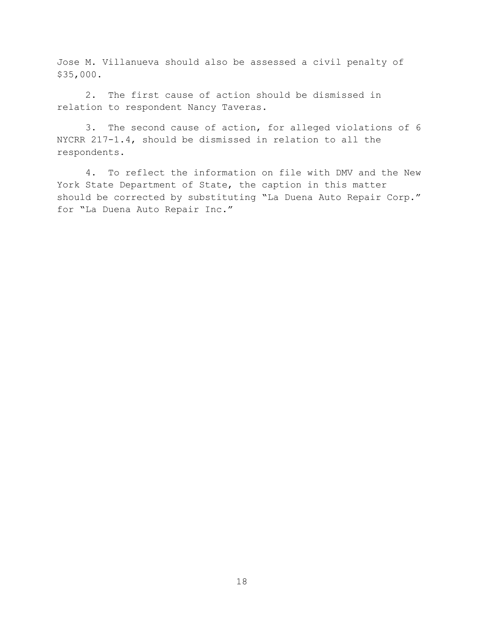Jose M. Villanueva should also be assessed a civil penalty of \$35,000.

2. The first cause of action should be dismissed in relation to respondent Nancy Taveras.

3. The second cause of action, for alleged violations of 6 NYCRR 217-1.4, should be dismissed in relation to all the respondents.

4. To reflect the information on file with DMV and the New York State Department of State, the caption in this matter should be corrected by substituting "La Duena Auto Repair Corp." for "La Duena Auto Repair Inc."